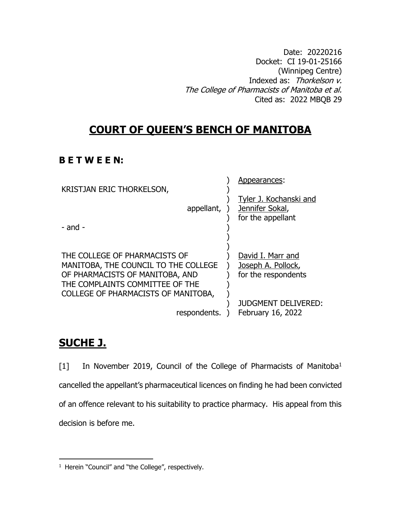Date: 20220216 Docket: CI 19-01-25166 (Winnipeg Centre) Indexed as: Thorkelson v. The College of Pharmacists of Manitoba et al. Cited as: 2022 MBQB 29

# **COURT OF QUEEN'S BENCH OF MANITOBA**

# **B E T W E E N:**

| KRISTJAN ERIC THORKELSON,<br>appellant,<br>$-$ and $-$                                                                                                                                             | Appearances:<br>Tyler J. Kochanski and<br>Jennifer Sokal,<br>for the appellant                                    |
|----------------------------------------------------------------------------------------------------------------------------------------------------------------------------------------------------|-------------------------------------------------------------------------------------------------------------------|
| THE COLLEGE OF PHARMACISTS OF<br>MANITOBA, THE COUNCIL TO THE COLLEGE<br>OF PHARMACISTS OF MANITOBA, AND<br>THE COMPLAINTS COMMITTEE OF THE<br>COLLEGE OF PHARMACISTS OF MANITOBA,<br>respondents. | David I. Marr and<br>Joseph A. Pollock,<br>for the respondents<br><b>JUDGMENT DELIVERED:</b><br>February 16, 2022 |

# **SUCHE J.**

 $\overline{a}$ 

[1] In November 2019, Council of the College of Pharmacists of Manitoba<sup>1</sup> cancelled the appellant's pharmaceutical licences on finding he had been convicted of an offence relevant to his suitability to practice pharmacy. His appeal from this decision is before me.

<sup>&</sup>lt;sup>1</sup> Herein "Council" and "the College", respectively.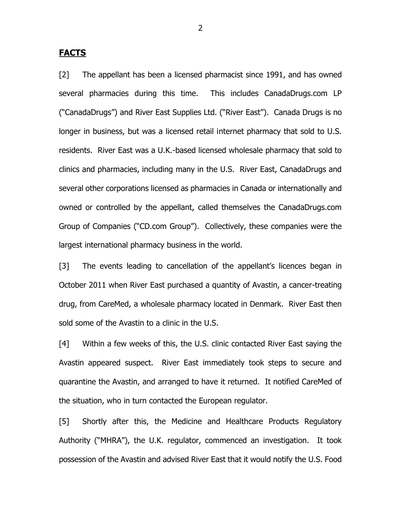#### **FACTS**

[2] The appellant has been a licensed pharmacist since 1991, and has owned several pharmacies during this time. This includes CanadaDrugs.com LP ("CanadaDrugs") and River East Supplies Ltd. ("River East"). Canada Drugs is no longer in business, but was a licensed retail internet pharmacy that sold to U.S. residents. River East was a U.K.-based licensed wholesale pharmacy that sold to clinics and pharmacies, including many in the U.S. River East, CanadaDrugs and several other corporations licensed as pharmacies in Canada or internationally and owned or controlled by the appellant, called themselves the CanadaDrugs.com Group of Companies ("CD.com Group"). Collectively, these companies were the largest international pharmacy business in the world.

[3] The events leading to cancellation of the appellant's licences began in October 2011 when River East purchased a quantity of Avastin, a cancer-treating drug, from CareMed, a wholesale pharmacy located in Denmark. River East then sold some of the Avastin to a clinic in the U.S.

[4] Within a few weeks of this, the U.S. clinic contacted River East saying the Avastin appeared suspect. River East immediately took steps to secure and quarantine the Avastin, and arranged to have it returned. It notified CareMed of the situation, who in turn contacted the European regulator.

[5] Shortly after this, the Medicine and Healthcare Products Regulatory Authority ("MHRA"), the U.K. regulator, commenced an investigation. It took possession of the Avastin and advised River East that it would notify the U.S. Food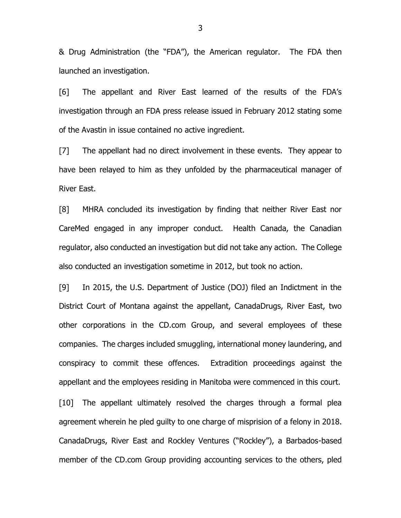& Drug Administration (the "FDA"), the American regulator. The FDA then launched an investigation.

[6] The appellant and River East learned of the results of the FDA's investigation through an FDA press release issued in February 2012 stating some of the Avastin in issue contained no active ingredient.

[7] The appellant had no direct involvement in these events. They appear to have been relayed to him as they unfolded by the pharmaceutical manager of River East.

[8] MHRA concluded its investigation by finding that neither River East nor CareMed engaged in any improper conduct. Health Canada, the Canadian regulator, also conducted an investigation but did not take any action. The College also conducted an investigation sometime in 2012, but took no action.

[9] In 2015, the U.S. Department of Justice (DOJ) filed an Indictment in the District Court of Montana against the appellant, CanadaDrugs, River East, two other corporations in the CD.com Group, and several employees of these companies. The charges included smuggling, international money laundering, and conspiracy to commit these offences. Extradition proceedings against the appellant and the employees residing in Manitoba were commenced in this court.

[10] The appellant ultimately resolved the charges through a formal plea agreement wherein he pled guilty to one charge of misprision of a felony in 2018. CanadaDrugs, River East and Rockley Ventures ("Rockley"), a Barbados-based member of the CD.com Group providing accounting services to the others, pled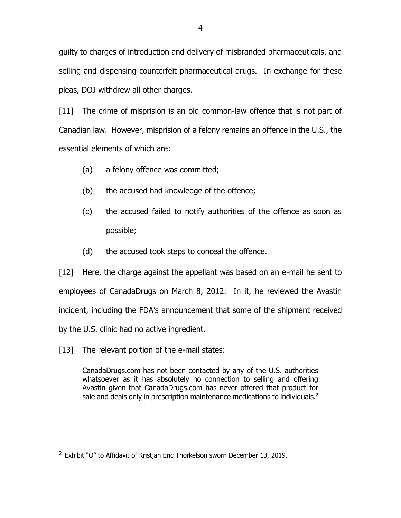guilty to charges of introduction and delivery of misbranded pharmaceuticals, and selling and dispensing counterfeit pharmaceutical drugs. In exchange for these pleas, DOJ withdrew all other charges.

[11] The crime of misprision is an old common-law offence that is not part of Canadian law. However, misprision of a felony remains an offence in the U.S., the essential elements of which are:

- (a) a felony offence was committed;
- (b) the accused had knowledge of the offence;
- (c) the accused failed to notify authorities of the offence as soon as possible;
- (d) the accused took steps to conceal the offence.

[12] Here, the charge against the appellant was based on an e-mail he sent to employees of CanadaDrugs on March 8, 2012. In it, he reviewed the Avastin incident, including the FDA's announcement that some of the shipment received by the U.S. clinic had no active ingredient.

[13] The relevant portion of the e-mail states:

 $\overline{a}$ 

CanadaDrugs.com has not been contacted by any of the U.S. authorities whatsoever as it has absolutely no connection to selling and offering Avastin given that CanadaDrugs.com has never offered that product for sale and deals only in prescription maintenance medications to individuals.<sup>2</sup>

 $2$  Exhibit "O" to Affidavit of Kristian Eric Thorkelson sworn December 13, 2019.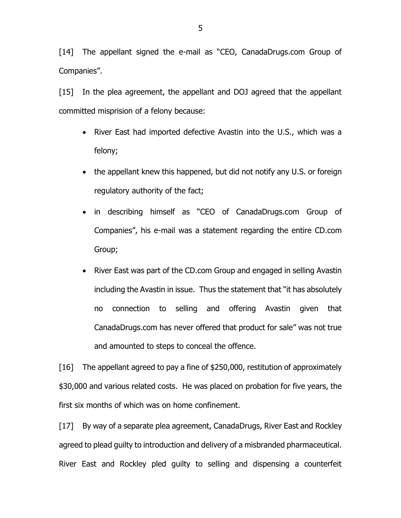[14] The appellant signed the e-mail as "CEO, CanadaDrugs.com Group of Companies".

[15] In the plea agreement, the appellant and DOJ agreed that the appellant committed misprision of a felony because:

- River East had imported defective Avastin into the U.S., which was a felony;
- the appellant knew this happened, but did not notify any U.S. or foreign regulatory authority of the fact;
- in describing himself as "CEO of CanadaDrugs.com Group of Companies", his e-mail was a statement regarding the entire CD.com Group;
- River East was part of the CD.com Group and engaged in selling Avastin including the Avastin in issue. Thus the statement that "it has absolutely no connection to selling and offering Avastin given that CanadaDrugs.com has never offered that product for sale" was not true and amounted to steps to conceal the offence.

[16] The appellant agreed to pay a fine of \$250,000, restitution of approximately \$30,000 and various related costs. He was placed on probation for five years, the first six months of which was on home confinement.

[17] By way of a separate plea agreement, CanadaDrugs, River East and Rockley agreed to plead guilty to introduction and delivery of a misbranded pharmaceutical. River East and Rockley pled guilty to selling and dispensing a counterfeit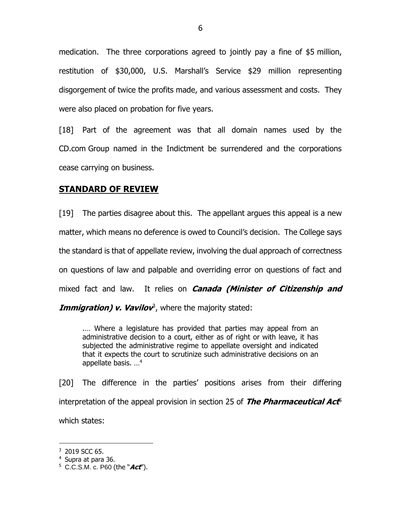medication. The three corporations agreed to jointly pay a fine of \$5 million, restitution of \$30,000, U.S. Marshall's Service \$29 million representing disgorgement of twice the profits made, and various assessment and costs. They were also placed on probation for five years.

[18] Part of the agreement was that all domain names used by the CD.com Group named in the Indictment be surrendered and the corporations cease carrying on business.

### **STANDARD OF REVIEW**

[19] The parties disagree about this. The appellant argues this appeal is a new matter, which means no deference is owed to Council's decision. The College says the standard is that of appellate review, involving the dual approach of correctness on questions of law and palpable and overriding error on questions of fact and mixed fact and law. It relies on **Canada (Minister of Citizenship and** 

Immigration) v. Vavilov<sup>3</sup>, where the majority stated:

.… Where a legislature has provided that parties may appeal from an administrative decision to a court, either as of right or with leave, it has subjected the administrative regime to appellate oversight and indicated that it expects the court to scrutinize such administrative decisions on an appellate basis. …<sup>4</sup>

[20] The difference in the parties' positions arises from their differing interpretation of the appeal provision in section 25 of The Pharmaceutical Act<sup>5</sup> which states:

<sup>3</sup> 2019 SCC 65.

<sup>4</sup> Supra at para 36.

<sup>5</sup> C.C.S.M. c. P60 (the "**Act**").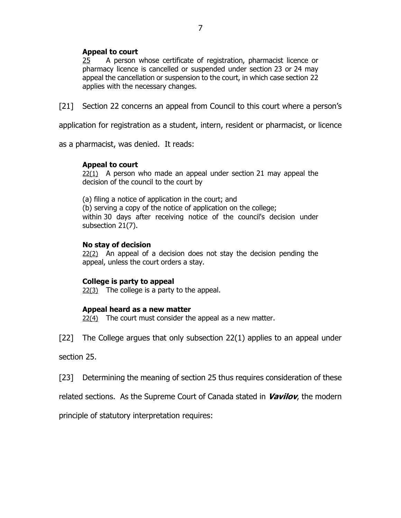#### **Appeal to court**

[25](https://web2.gov.mb.ca/laws/statutes/ccsm/p060f.php#25) A person whose certificate of registration, pharmacist licence or pharmacy licence is cancelled or suspended under section 23 or 24 may appeal the cancellation or suspension to the court, in which case section 22 applies with the necessary changes.

[21] Section 22 concerns an appeal from Council to this court where a person's

application for registration as a student, intern, resident or pharmacist, or licence

as a pharmacist, was denied. It reads:

#### **Appeal to court**

[22\(1\)](https://web2.gov.mb.ca/laws/statutes/2006/c03706f.php#22) A person who made an appeal under section 21 may appeal the decision of the council to the court by

(a) filing a notice of application in the court; and (b) serving a copy of the notice of application on the college; within 30 days after receiving notice of the council's decision under subsection 21(7).

#### **No stay of decision**

[22\(2\)](https://web2.gov.mb.ca/laws/statutes/2006/c03706f.php#22(2)) An appeal of a decision does not stay the decision pending the appeal, unless the court orders a stay.

#### **College is party to appeal**

 $22(3)$  The college is a party to the appeal.

#### **Appeal heard as a new matter**

[22\(4\)](https://web2.gov.mb.ca/laws/statutes/2006/c03706f.php#22(4)) The court must consider the appeal as a new matter.

[22] The College argues that only subsection 22(1) applies to an appeal under

section 25.

[23] Determining the meaning of section 25 thus requires consideration of these

related sections. As the Supreme Court of Canada stated in **Vavilov**, the modern

principle of statutory interpretation requires: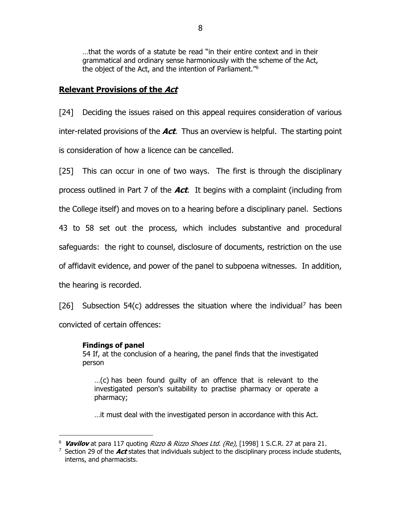…that the words of a statute be read "in their entire context and in their grammatical and ordinary sense harmoniously with the scheme of the Act, the object of the Act, and the intention of Parliament."<sup>6</sup>

## **Relevant Provisions of the Act**

[24] Deciding the issues raised on this appeal requires consideration of various inter-related provisions of the **Act**. Thus an overview is helpful. The starting point is consideration of how a licence can be cancelled.

[25] This can occur in one of two ways. The first is through the disciplinary process outlined in Part 7 of the **Act**. It begins with a complaint (including from the College itself) and moves on to a hearing before a disciplinary panel. Sections 43 to 58 set out the process, which includes substantive and procedural safeguards: the right to counsel, disclosure of documents, restriction on the use of affidavit evidence, and power of the panel to subpoena witnesses. In addition, the hearing is recorded.

[26] Subsection 54(c) addresses the situation where the individual<sup>7</sup> has been

convicted of certain offences:

### **Findings of panel**

 $\overline{a}$ 

[54](https://web2.gov.mb.ca/laws/statutes/ccsm/p060f.php#54) If, at the conclusion of a hearing, the panel finds that the investigated person

…(c) has been found guilty of an offence that is relevant to the investigated person's suitability to practise pharmacy or operate a pharmacy;

…it must deal with the investigated person in accordance with this Act.

<sup>6</sup> **Vavilov** at para 117 quoting Rizzo & Rizzo Shoes Ltd. (Re), [1998] 1 S.C.R. 27 at para 21.

<sup>7</sup> Section 29 of the **Act** states that individuals subject to the disciplinary process include students, interns, and pharmacists.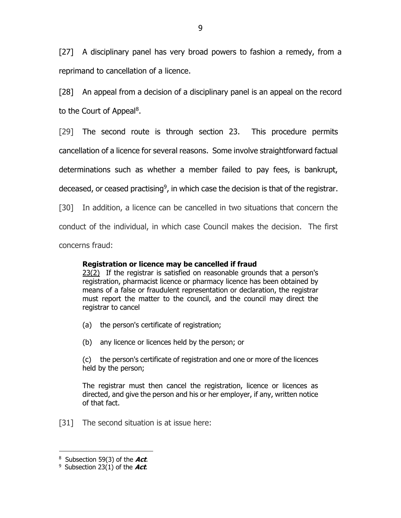[27] A disciplinary panel has very broad powers to fashion a remedy, from a reprimand to cancellation of a licence.

[28] An appeal from a decision of a disciplinary panel is an appeal on the record to the Court of Appeal<sup>8</sup>.

[29] The second route is through section 23. This procedure permits

cancellation of a licence for several reasons. Some involve straightforward factual

determinations such as whether a member failed to pay fees, is bankrupt,

deceased, or ceased practising<sup>9</sup>, in which case the decision is that of the registrar.

[30] In addition, a licence can be cancelled in two situations that concern the

conduct of the individual, in which case Council makes the decision. The first

concerns fraud:

## **Registration or licence may be cancelled if fraud**

[23\(2\)](https://web2.gov.mb.ca/laws/statutes/ccsm/p060f.php#23(2)) If the registrar is satisfied on reasonable grounds that a person's registration, pharmacist licence or pharmacy licence has been obtained by means of a false or fraudulent representation or declaration, the registrar must report the matter to the council, and the council may direct the registrar to cancel

- (a) the person's certificate of registration;
- (b) any licence or licences held by the person; or

(c) the person's certificate of registration and one or more of the licences held by the person;

The registrar must then cancel the registration, licence or licences as directed, and give the person and his or her employer, if any, written notice of that fact.

[31] The second situation is at issue here:

<sup>8</sup> Subsection 59(3) of the **Act**.

<sup>9</sup> Subsection 23(1) of the **Act**.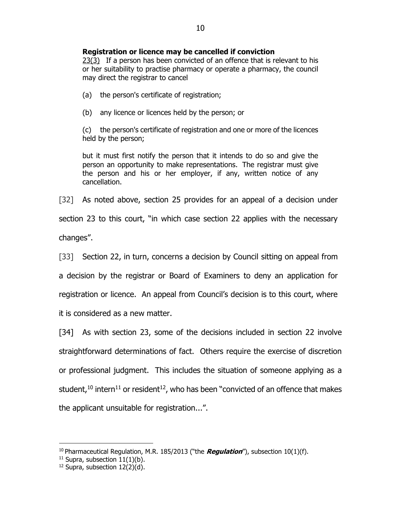#### **Registration or licence may be cancelled if conviction**

[23\(3\)](https://web2.gov.mb.ca/laws/statutes/ccsm/p060f.php#23(3)) If a person has been convicted of an offence that is relevant to his or her suitability to practise pharmacy or operate a pharmacy, the council may direct the registrar to cancel

(a) the person's certificate of registration;

(b) any licence or licences held by the person; or

(c) the person's certificate of registration and one or more of the licences held by the person;

but it must first notify the person that it intends to do so and give the person an opportunity to make representations. The registrar must give the person and his or her employer, if any, written notice of any cancellation.

[32] As noted above, section 25 provides for an appeal of a decision under section 23 to this court, "in which case section 22 applies with the necessary changes".

[33] Section 22, in turn, concerns a decision by Council sitting on appeal from a decision by the registrar or Board of Examiners to deny an application for registration or licence. An appeal from Council's decision is to this court, where it is considered as a new matter.

[34] As with section 23, some of the decisions included in section 22 involve straightforward determinations of fact. Others require the exercise of discretion or professional judgment. This includes the situation of someone applying as a student,<sup>10</sup> intern<sup>11</sup> or resident<sup>12</sup>, who has been "convicted of an offence that makes the applicant unsuitable for registration...".

<sup>10</sup> Pharmaceutical Regulation, M.R. 185/2013 ("the **Regulation**"), subsection 10(1)(f).

 $11$  Supra, subsection  $11(1)(b)$ .

 $12$  Supra, subsection  $12(2)(d)$ .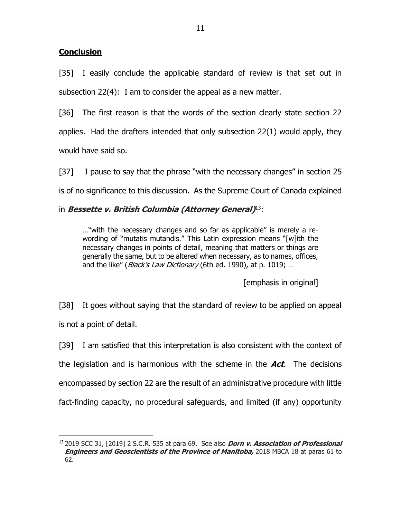## **Conclusion**

 $\overline{a}$ 

[35] I easily conclude the applicable standard of review is that set out in subsection 22(4): I am to consider the appeal as a new matter.

[36] The first reason is that the words of the section clearly state section 22 applies. Had the drafters intended that only subsection 22(1) would apply, they would have said so.

[37] I pause to say that the phrase "with the necessary changes" in section 25 is of no significance to this discussion. As the Supreme Court of Canada explained

## in **Bessette v. British Columbia (Attorney General)** <sup>13</sup>:

…"with the necessary changes and so far as applicable" is merely a rewording of "mutatis mutandis." This Latin expression means "[w]ith the necessary changes in points of detail, meaning that matters or things are generally the same, but to be altered when necessary, as to names, offices, and the like" (*Black's Law Dictionary* (6th ed. 1990), at p. 1019; ...

[emphasis in original]

[38] It goes without saying that the standard of review to be applied on appeal is not a point of detail.

[39] I am satisfied that this interpretation is also consistent with the context of the legislation and is harmonious with the scheme in the **Act**. The decisions encompassed by section 22 are the result of an administrative procedure with little fact-finding capacity, no procedural safeguards, and limited (if any) opportunity

<sup>13</sup> 2019 SCC 31, [2019] 2 S.C.R. 535 at para 69. See also **Dorn v. Association of Professional Engineers and Geoscientists of the Province of Manitoba,** 2018 MBCA 18 at paras 61 to 62.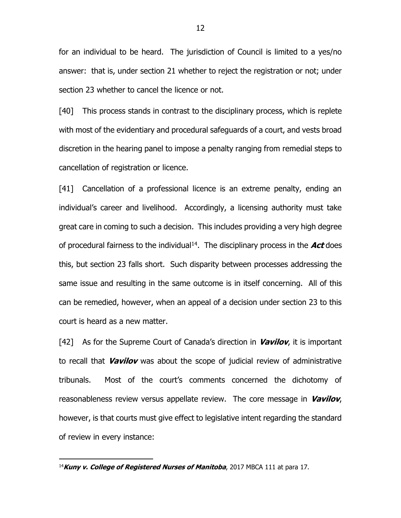for an individual to be heard. The jurisdiction of Council is limited to a yes/no answer: that is, under section 21 whether to reject the registration or not; under section 23 whether to cancel the licence or not.

[40] This process stands in contrast to the disciplinary process, which is replete with most of the evidentiary and procedural safeguards of a court, and vests broad discretion in the hearing panel to impose a penalty ranging from remedial steps to cancellation of registration or licence.

[41] Cancellation of a professional licence is an extreme penalty, ending an individual's career and livelihood. Accordingly, a licensing authority must take great care in coming to such a decision. This includes providing a very high degree of procedural fairness to the individual<sup>14</sup>. The disciplinary process in the **Act** does this, but section 23 falls short. Such disparity between processes addressing the same issue and resulting in the same outcome is in itself concerning. All of this can be remedied, however, when an appeal of a decision under section 23 to this court is heard as a new matter.

[42] As for the Supreme Court of Canada's direction in **Vavilov**, it is important to recall that **Vavilov** was about the scope of judicial review of administrative tribunals. Most of the court's comments concerned the dichotomy of reasonableness review versus appellate review. The core message in **Vavilov**, however, is that courts must give effect to legislative intent regarding the standard of review in every instance:

<sup>14</sup>**Kuny v. College of Registered Nurses of Manitoba**, 2017 MBCA 111 at para 17.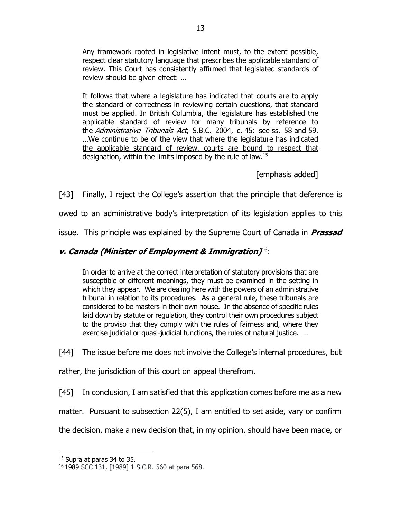Any framework rooted in legislative intent must, to the extent possible, respect clear statutory language that prescribes the applicable standard of review. This Court has consistently affirmed that legislated standards of review should be given effect: …

It follows that where a legislature has indicated that courts are to apply the standard of correctness in reviewing certain questions, that standard must be applied. In British Columbia, the legislature has established the applicable standard of review for many tribunals by reference to the Administrative Tribunals Act, S.B.C. 2004, c. 45: see ss. 58 and 59. …We continue to be of the view that where the legislature has indicated the applicable standard of review, courts are bound to respect that designation, within the limits imposed by the rule of law.<sup>15</sup>

[emphasis added]

[43] Finally, I reject the College's assertion that the principle that deference is

owed to an administrative body's interpretation of its legislation applies to this

issue. This principle was explained by the Supreme Court of Canada in **Prassad** 

# **v. Canada (Minister of Employment & Immigration)** <sup>16</sup>:

In order to arrive at the correct interpretation of statutory provisions that are susceptible of different meanings, they must be examined in the setting in which they appear. We are dealing here with the powers of an administrative tribunal in relation to its procedures. As a general rule, these tribunals are considered to be masters in their own house. In the absence of specific rules laid down by statute or regulation, they control their own procedures subject to the proviso that they comply with the rules of fairness and, where they exercise judicial or quasi-judicial functions, the rules of natural justice. …

[44] The issue before me does not involve the College's internal procedures, but

rather, the jurisdiction of this court on appeal therefrom.

[45] In conclusion, I am satisfied that this application comes before me as a new

matter. Pursuant to subsection 22(5), I am entitled to set aside, vary or confirm

the decision, make a new decision that, in my opinion, should have been made, or

 $\overline{a}$ <sup>15</sup> Supra at paras 34 to 35.

<sup>16</sup> 1989 SCC 131, [1989] 1 S.C.R. 560 at para 568.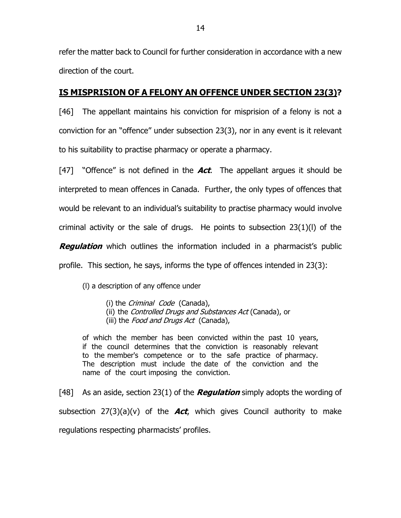refer the matter back to Council for further consideration in accordance with a new direction of the court.

# **IS MISPRISION OF A FELONY AN OFFENCE UNDER SECTION 23(3)?**

[46] The appellant maintains his conviction for misprision of a felony is not a conviction for an "offence" under subsection 23(3), nor in any event is it relevant to his suitability to practise pharmacy or operate a pharmacy.

[47] "Offence" is not defined in the **Act**. The appellant argues it should be interpreted to mean offences in Canada. Further, the only types of offences that would be relevant to an individual's suitability to practise pharmacy would involve criminal activity or the sale of drugs. He points to subsection 23(1)(l) of the **Regulation** which outlines the information included in a pharmacist's public profile. This section, he says, informs the type of offences intended in 23(3):

(l) a description of any offence under

- (i) the Criminal Code (Canada),
- (ii) the Controlled Drugs and Substances Act (Canada), or
- (iii) the Food and Drugs Act (Canada),

of which the member has been convicted within the past 10 years, if the council determines that the conviction is reasonably relevant to the member's competence or to the safe practice of pharmacy. The description must include the date of the conviction and the name of the court imposing the conviction.

[48] As an aside, section 23(1) of the **Regulation** simply adopts the wording of subsection 27(3)(a)(v) of the **Act**, which gives Council authority to make regulations respecting pharmacists' profiles.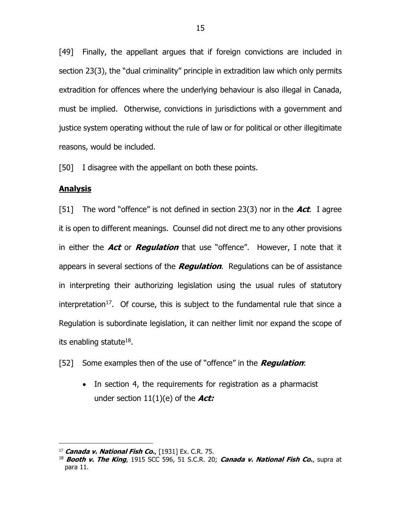[49] Finally, the appellant argues that if foreign convictions are included in section 23(3), the "dual criminality" principle in extradition law which only permits extradition for offences where the underlying behaviour is also illegal in Canada, must be implied. Otherwise, convictions in jurisdictions with a government and justice system operating without the rule of law or for political or other illegitimate reasons, would be included.

[50] I disagree with the appellant on both these points.

#### **Analysis**

[51] The word "offence" is not defined in section 23(3) nor in the **Act**. I agree it is open to different meanings. Counsel did not direct me to any other provisions in either the **Act** or **Regulation** that use "offence". However, I note that it appears in several sections of the **Regulation**. Regulations can be of assistance in interpreting their authorizing legislation using the usual rules of statutory interpretation<sup>17</sup>. Of course, this is subject to the fundamental rule that since a Regulation is subordinate legislation, it can neither limit nor expand the scope of its enabling statute $^{18}$ .

[52] Some examples then of the use of "offence" in the **Regulation**:

• In section 4, the requirements for registration as a pharmacist under section 11(1)(e) of the **Act:**

 $\overline{a}$ <sup>17</sup> **Canada v. National Fish Co.**, [1931] Ex. C.R. 75.

<sup>18</sup> **Booth v. The King**, 1915 SCC 596, 51 S.C.R. 20; **Canada v. National Fish Co.**, supra at para 11.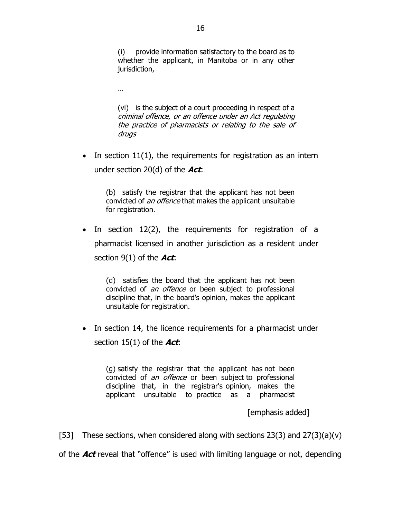(i) provide information satisfactory to the board as to whether the applicant, in Manitoba or in any other jurisdiction,

…

(vi) is the subject of a court proceeding in respect of a criminal offence, or an offence under an Act regulating the practice of pharmacists or relating to the sale of drugs

• In section  $11(1)$ , the requirements for registration as an intern under section 20(d) of the **Act**:

(b) satisfy the registrar that the applicant has not been convicted of an offence that makes the applicant unsuitable for registration.

• In section 12(2), the requirements for registration of a pharmacist licensed in another jurisdiction as a resident under section 9(1) of the **Act**:

(d) satisfies the board that the applicant has not been convicted of *an offence* or been subject to professional discipline that, in the board's opinion, makes the applicant unsuitable for registration.

• In section 14, the licence requirements for a pharmacist under section 15(1) of the **Act**:

(g) satisfy the registrar that the applicant has not been convicted of *an offence* or been subject to professional discipline that, in the registrar's opinion, makes the applicant unsuitable to practice as a pharmacist

[emphasis added]

[53] These sections, when considered along with sections  $23(3)$  and  $27(3)(a)(v)$ 

of the **Act** reveal that "offence" is used with limiting language or not, depending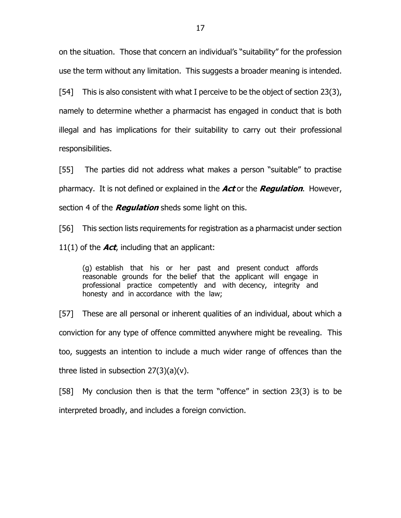on the situation. Those that concern an individual's "suitability" for the profession use the term without any limitation. This suggests a broader meaning is intended.

[54] This is also consistent with what I perceive to be the object of section 23(3), namely to determine whether a pharmacist has engaged in conduct that is both illegal and has implications for their suitability to carry out their professional responsibilities.

[55] The parties did not address what makes a person "suitable" to practise pharmacy. It is not defined or explained in the **Act** or the **Regulation**. However, section 4 of the **Regulation** sheds some light on this.

[56] This section lists requirements for registration as a pharmacist under section 11(1) of the **Act**, including that an applicant:

(g) establish that his or her past and present conduct affords reasonable grounds for the belief that the applicant will engage in professional practice competently and with decency, integrity and honesty and in accordance with the law;

[57] These are all personal or inherent qualities of an individual, about which a conviction for any type of offence committed anywhere might be revealing. This too, suggests an intention to include a much wider range of offences than the three listed in subsection  $27(3)(a)(v)$ .

[58] My conclusion then is that the term "offence" in section 23(3) is to be interpreted broadly, and includes a foreign conviction.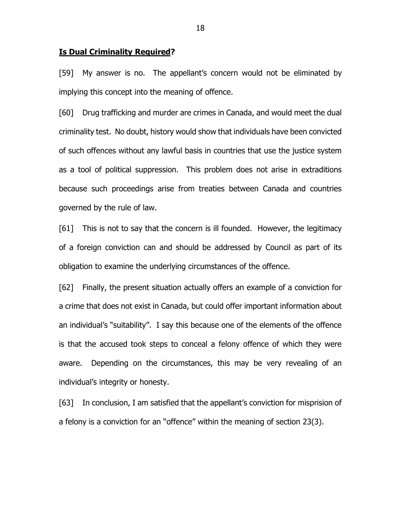#### **Is Dual Criminality Required?**

[59] My answer is no. The appellant's concern would not be eliminated by implying this concept into the meaning of offence.

[60] Drug trafficking and murder are crimes in Canada, and would meet the dual criminality test. No doubt, history would show that individuals have been convicted of such offences without any lawful basis in countries that use the justice system as a tool of political suppression. This problem does not arise in extraditions because such proceedings arise from treaties between Canada and countries governed by the rule of law.

[61] This is not to say that the concern is ill founded. However, the legitimacy of a foreign conviction can and should be addressed by Council as part of its obligation to examine the underlying circumstances of the offence.

[62] Finally, the present situation actually offers an example of a conviction for a crime that does not exist in Canada, but could offer important information about an individual's "suitability". I say this because one of the elements of the offence is that the accused took steps to conceal a felony offence of which they were aware. Depending on the circumstances, this may be very revealing of an individual's integrity or honesty.

[63] In conclusion, I am satisfied that the appellant's conviction for misprision of a felony is a conviction for an "offence" within the meaning of section 23(3).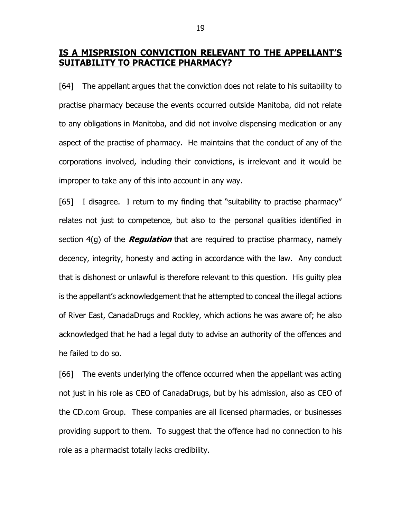# **IS A MISPRISION CONVICTION RELEVANT TO THE APPELLANT'S SUITABILITY TO PRACTICE PHARMACY?**

[64] The appellant argues that the conviction does not relate to his suitability to practise pharmacy because the events occurred outside Manitoba, did not relate to any obligations in Manitoba, and did not involve dispensing medication or any aspect of the practise of pharmacy. He maintains that the conduct of any of the corporations involved, including their convictions, is irrelevant and it would be improper to take any of this into account in any way.

[65] I disagree. I return to my finding that "suitability to practise pharmacy" relates not just to competence, but also to the personal qualities identified in section 4(g) of the **Regulation** that are required to practise pharmacy, namely decency, integrity, honesty and acting in accordance with the law. Any conduct that is dishonest or unlawful is therefore relevant to this question. His guilty plea is the appellant's acknowledgement that he attempted to conceal the illegal actions of River East, CanadaDrugs and Rockley, which actions he was aware of; he also acknowledged that he had a legal duty to advise an authority of the offences and he failed to do so.

[66] The events underlying the offence occurred when the appellant was acting not just in his role as CEO of CanadaDrugs, but by his admission, also as CEO of the CD.com Group. These companies are all licensed pharmacies, or businesses providing support to them. To suggest that the offence had no connection to his role as a pharmacist totally lacks credibility.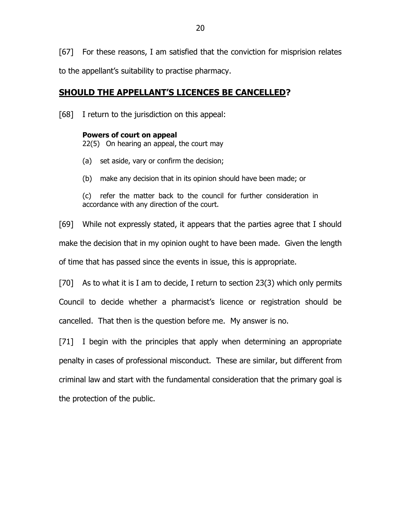[67] For these reasons, I am satisfied that the conviction for misprision relates to the appellant's suitability to practise pharmacy.

# **SHOULD THE APPELLANT'S LICENCES BE CANCELLED?**

[68] I return to the jurisdiction on this appeal:

#### **Powers of court on appeal**

22(5) On hearing an appeal, the court may

- (a) set aside, vary or confirm the decision;
- (b) make any decision that in its opinion should have been made; or

(c) refer the matter back to the council for further consideration in accordance with any direction of the court.

[69] While not expressly stated, it appears that the parties agree that I should make the decision that in my opinion ought to have been made. Given the length of time that has passed since the events in issue, this is appropriate.

[70] As to what it is I am to decide, I return to section 23(3) which only permits Council to decide whether a pharmacist's licence or registration should be cancelled. That then is the question before me. My answer is no.

[71] I begin with the principles that apply when determining an appropriate penalty in cases of professional misconduct. These are similar, but different from criminal law and start with the fundamental consideration that the primary goal is the protection of the public.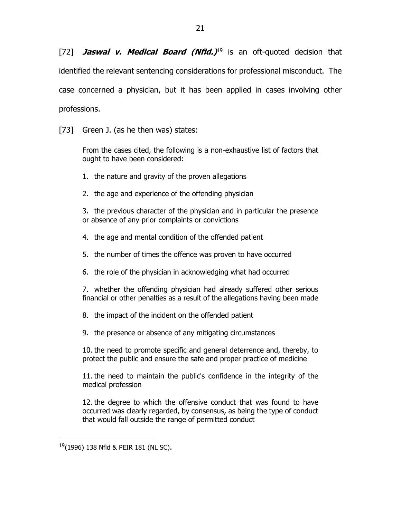[72] **Jaswal v. Medical Board (Nfld.)** <sup>19</sup> is an oft-quoted decision that identified the relevant sentencing considerations for professional misconduct. The case concerned a physician, but it has been applied in cases involving other professions.

[73] Green J. (as he then was) states:

From the cases cited, the following is a non-exhaustive list of factors that ought to have been considered:

- 1. the nature and gravity of the proven allegations
- 2. the age and experience of the offending physician

3. the previous character of the physician and in particular the presence or absence of any prior complaints or convictions

- 4. the age and mental condition of the offended patient
- 5. the number of times the offence was proven to have occurred
- 6. the role of the physician in acknowledging what had occurred

7. whether the offending physician had already suffered other serious financial or other penalties as a result of the allegations having been made

- 8. the impact of the incident on the offended patient
- 9. the presence or absence of any mitigating circumstances

10. the need to promote specific and general deterrence and, thereby, to protect the public and ensure the safe and proper practice of medicine

11. the need to maintain the public's confidence in the integrity of the medical profession

12. the degree to which the offensive conduct that was found to have occurred was clearly regarded, by consensus, as being the type of conduct that would fall outside the range of permitted conduct

<sup>19</sup>(1996) 138 Nfld & PEIR 181 (NL SC).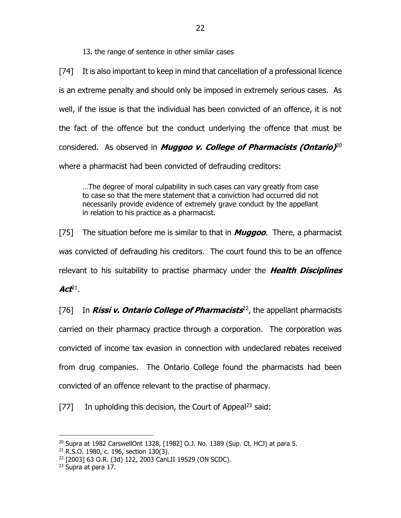13. the range of sentence in other similar cases

[74] It is also important to keep in mind that cancellation of a professional licence is an extreme penalty and should only be imposed in extremely serious cases. As well, if the issue is that the individual has been convicted of an offence, it is not the fact of the offence but the conduct underlying the offence that must be considered. As observed in **Muggoo v. College of Pharmacists (Ontario)** 20 where a pharmacist had been convicted of defrauding creditors:

…The degree of moral culpability in such cases can vary greatly from case to case so that the mere statement that a conviction had occurred did not necessarily provide evidence of extremely grave conduct by the appellant in relation to his practice as a pharmacist.

[75] The situation before me is similar to that in **Muggoo**. There, a pharmacist was convicted of defrauding his creditors. The court found this to be an offence relevant to his suitability to practise pharmacy under the **Health Disciplines Act<sup>21</sup>.** 

[76] In **Rissi v. Ontario College of Pharmacists** 22 , the appellant pharmacists carried on their pharmacy practice through a corporation. The corporation was convicted of income tax evasion in connection with undeclared rebates received from drug companies. The Ontario College found the pharmacists had been convicted of an offence relevant to the practise of pharmacy.

[77] In upholding this decision, the Court of Appeal<sup>23</sup> said:

 $20$  Supra at 1982 CarswellOnt 1328, [1982] O.J. No. 1389 (Sup. Ct. HCJ) at para 5.

<sup>21</sup> R.S.O. 1980, c. 196, section 130(3).

<sup>22</sup> [2003] 63 O.R. (3d) 122, 2003 CanLII 19529 (ON SCDC).

<sup>&</sup>lt;sup>23</sup> Supra at para 17.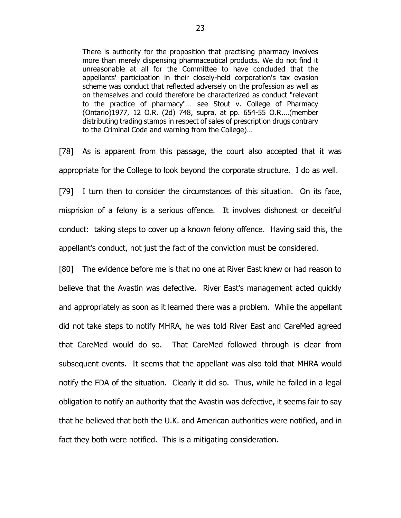There is authority for the proposition that practising pharmacy involves more than merely dispensing pharmaceutical products. We do not find it unreasonable at all for the Committee to have concluded that the appellants' participation in their closely-held corporation's tax evasion scheme was conduct that reflected adversely on the profession as well as on themselves and could therefore be characterized as conduct "relevant to the practice of pharmacy"… see Stout v. College of Pharmacy (Ontario)1977, 12 O.R. (2d) 748, supra, at pp. 654-55 O.R.…(member distributing trading stamps in respect of sales of prescription drugs contrary to the [Criminal Code](https://www.canlii.org/en/ca/laws/stat/rsc-1985-c-c-46/latest/rsc-1985-c-c-46.html) and warning from the College)…

[78] As is apparent from this passage, the court also accepted that it was appropriate for the College to look beyond the corporate structure. I do as well.

[79] I turn then to consider the circumstances of this situation. On its face, misprision of a felony is a serious offence. It involves dishonest or deceitful conduct: taking steps to cover up a known felony offence. Having said this, the appellant's conduct, not just the fact of the conviction must be considered.

[80] The evidence before me is that no one at River East knew or had reason to believe that the Avastin was defective. River East's management acted quickly and appropriately as soon as it learned there was a problem. While the appellant did not take steps to notify MHRA, he was told River East and CareMed agreed that CareMed would do so. That CareMed followed through is clear from subsequent events. It seems that the appellant was also told that MHRA would notify the FDA of the situation. Clearly it did so. Thus, while he failed in a legal obligation to notify an authority that the Avastin was defective, it seems fair to say that he believed that both the U.K. and American authorities were notified, and in fact they both were notified. This is a mitigating consideration.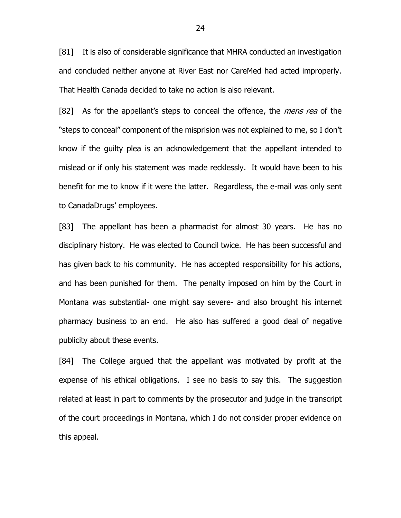[81] It is also of considerable significance that MHRA conducted an investigation and concluded neither anyone at River East nor CareMed had acted improperly. That Health Canada decided to take no action is also relevant.

[82] As for the appellant's steps to conceal the offence, the *mens rea* of the "steps to conceal" component of the misprision was not explained to me, so I don't know if the guilty plea is an acknowledgement that the appellant intended to mislead or if only his statement was made recklessly. It would have been to his benefit for me to know if it were the latter. Regardless, the e-mail was only sent to CanadaDrugs' employees.

[83] The appellant has been a pharmacist for almost 30 years. He has no disciplinary history. He was elected to Council twice. He has been successful and has given back to his community. He has accepted responsibility for his actions, and has been punished for them. The penalty imposed on him by the Court in Montana was substantial- one might say severe- and also brought his internet pharmacy business to an end. He also has suffered a good deal of negative publicity about these events.

[84] The College argued that the appellant was motivated by profit at the expense of his ethical obligations. I see no basis to say this. The suggestion related at least in part to comments by the prosecutor and judge in the transcript of the court proceedings in Montana, which I do not consider proper evidence on this appeal.

24